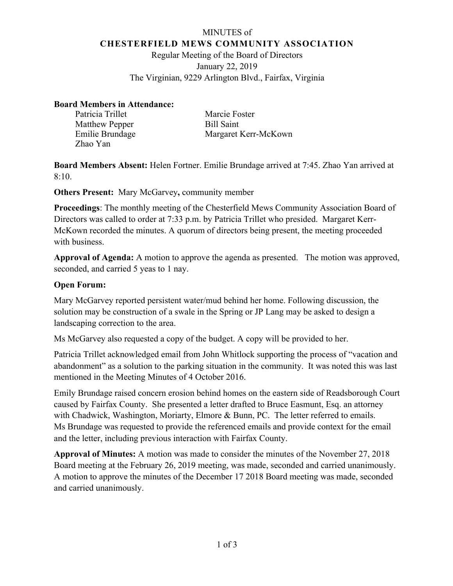### MINUTES of **CHESTERFIELD MEWS COMMUNITY ASSOCIATION**

Regular Meeting of the Board of Directors January 22, 2019 The Virginian, 9229 Arlington Blvd., Fairfax, Virginia

### **Board Members in Attendance:**

| Patricia Trillet      | Marcie Foster        |
|-----------------------|----------------------|
| <b>Matthew Pepper</b> | Bill Saint           |
| Emilie Brundage       | Margaret Kerr-McKown |
| Zhao Yan              |                      |

**Board Members Absent:** Helen Fortner. Emilie Brundage arrived at 7:45. Zhao Yan arrived at  $8:10.$ 

**Others Present:** Mary McGarvey**,** community member

**Proceedings**: The monthly meeting of the Chesterfield Mews Community Association Board of Directors was called to order at 7:33 p.m. by Patricia Trillet who presided. Margaret Kerr-McKown recorded the minutes. A quorum of directors being present, the meeting proceeded with business.

**Approval of Agenda:** A motion to approve the agenda as presented. The motion was approved, seconded, and carried 5 yeas to 1 nay.

# **Open Forum:**

Mary McGarvey reported persistent water/mud behind her home. Following discussion, the solution may be construction of a swale in the Spring or JP Lang may be asked to design a landscaping correction to the area.

Ms McGarvey also requested a copy of the budget. A copy will be provided to her.

Patricia Trillet acknowledged email from John Whitlock supporting the process of "vacation and abandonment" as a solution to the parking situation in the community. It was noted this was last mentioned in the Meeting Minutes of 4 October 2016.

Emily Brundage raised concern erosion behind homes on the eastern side of Readsborough Court caused by Fairfax County. She presented a letter drafted to Bruce Easmunt, Esq. an attorney with Chadwick, Washington, Moriarty, Elmore & Bunn, PC. The letter referred to emails. Ms Brundage was requested to provide the referenced emails and provide context for the email and the letter, including previous interaction with Fairfax County.

**Approval of Minutes:** A motion was made to consider the minutes of the November 27, 2018 Board meeting at the February 26, 2019 meeting, was made, seconded and carried unanimously. A motion to approve the minutes of the December 17 2018 Board meeting was made, seconded and carried unanimously.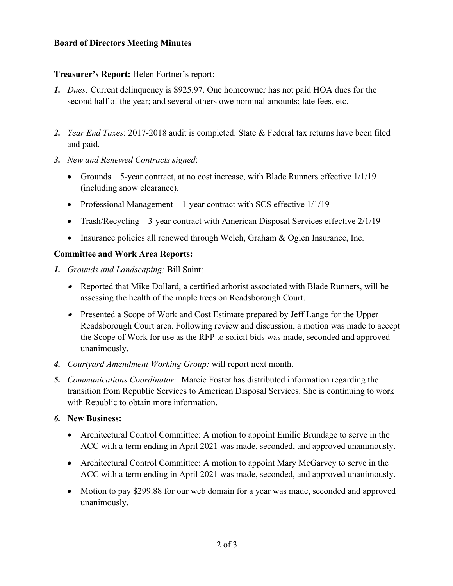### **Treasurer's Report:** Helen Fortner's report:

- *1. Dues:* Current delinquency is \$925.97. One homeowner has not paid HOA dues for the second half of the year; and several others owe nominal amounts; late fees, etc.
- *2. Year End Taxes*: 2017-2018 audit is completed. State & Federal tax returns have been filed and paid.
- *3. New and Renewed Contracts signed*:
	- Grounds 5-year contract, at no cost increase, with Blade Runners effective  $1/1/19$ (including snow clearance).
	- Professional Management 1-year contract with SCS effective 1/1/19
	- Trash/Recycling 3-year contract with American Disposal Services effective 2/1/19
	- Insurance policies all renewed through Welch, Graham & Oglen Insurance, Inc.

# **Committee and Work Area Reports:**

- *1. Grounds and Landscaping:* Bill Saint:
	- Reported that Mike Dollard, a certified arborist associated with Blade Runners, will be assessing the health of the maple trees on Readsborough Court.
	- Presented a Scope of Work and Cost Estimate prepared by Jeff Lange for the Upper Readsborough Court area. Following review and discussion, a motion was made to accept the Scope of Work for use as the RFP to solicit bids was made, seconded and approved unanimously.
- *4. Courtyard Amendment Working Group:* will report next month.
- *5. Communications Coordinator:* Marcie Foster has distributed information regarding the transition from Republic Services to American Disposal Services. She is continuing to work with Republic to obtain more information.
- *6.* **New Business:** 
	- Architectural Control Committee: A motion to appoint Emilie Brundage to serve in the ACC with a term ending in April 2021 was made, seconded, and approved unanimously.
	- Architectural Control Committee: A motion to appoint Mary McGarvey to serve in the ACC with a term ending in April 2021 was made, seconded, and approved unanimously.
	- Motion to pay \$299.88 for our web domain for a year was made, seconded and approved unanimously.